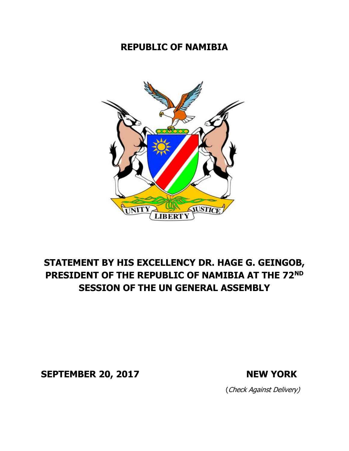## **REPUBLIC OF NAMIBIA**



## **STATEMENT BY HIS EXCELLENCY DR. HAGE G. GEINGOB, PRESIDENT OF THE REPUBLIC OF NAMIBIA AT THE 72ND SESSION OF THE UN GENERAL ASSEMBLY**

**SEPTEMBER 20, 2017 NEW YORK**

(Check Against Delivery)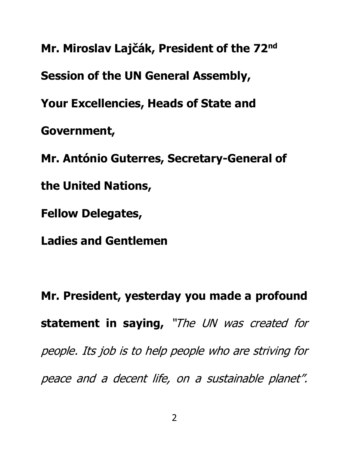**Mr. Miroslav Lajčák, President of the 72nd Session of the UN General Assembly, Your Excellencies, Heads of State and Government, Mr. António Guterres, Secretary-General of the United Nations, Fellow Delegates, Ladies and Gentlemen**

**Mr. President, yesterday you made a profound statement in saying,**  "The UN was created for people. Its job is to help people who are striving for peace and a decent life, on a sustainable planet".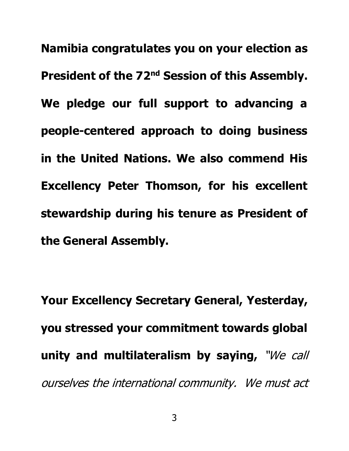**Namibia congratulates you on your election as President of the 72nd Session of this Assembly. We pledge our full support to advancing a people-centered approach to doing business in the United Nations. We also commend His Excellency Peter Thomson, for his excellent stewardship during his tenure as President of the General Assembly.**

**Your Excellency Secretary General, Yesterday, you stressed your commitment towards global unity and multilateralism by saying,** "We call ourselves the international community. We must act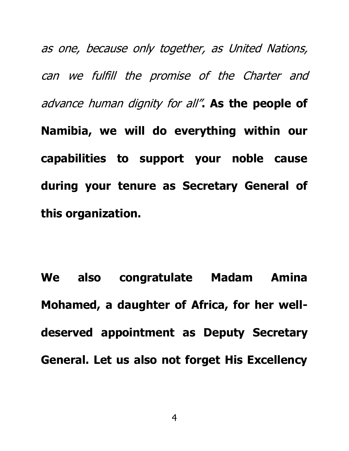as one, because only together, as United Nations, can we fulfill the promise of the Charter and advance human dignity for all"**. As the people of Namibia, we will do everything within our capabilities to support your noble cause during your tenure as Secretary General of this organization.**

**We also congratulate Madam Amina Mohamed, a daughter of Africa, for her welldeserved appointment as Deputy Secretary General. Let us also not forget His Excellency**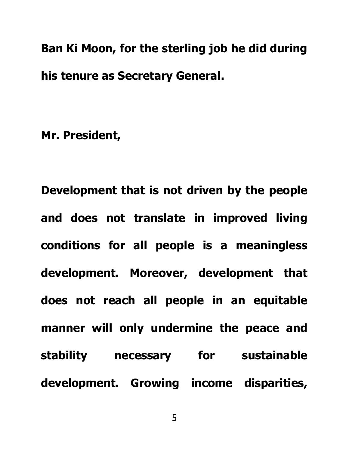**Ban Ki Moon, for the sterling job he did during his tenure as Secretary General.** 

**Mr. President,**

**Development that is not driven by the people and does not translate in improved living conditions for all people is a meaningless development. Moreover, development that does not reach all people in an equitable manner will only undermine the peace and stability necessary for sustainable development. Growing income disparities,**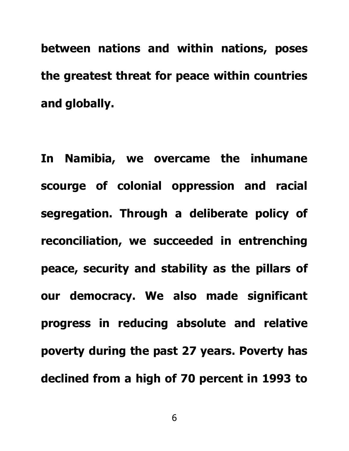**between nations and within nations, poses the greatest threat for peace within countries and globally.**

**In Namibia, we overcame the inhumane scourge of colonial oppression and racial segregation. Through a deliberate policy of reconciliation, we succeeded in entrenching peace, security and stability as the pillars of our democracy. We also made significant progress in reducing absolute and relative poverty during the past 27 years. Poverty has declined from a high of 70 percent in 1993 to** 

6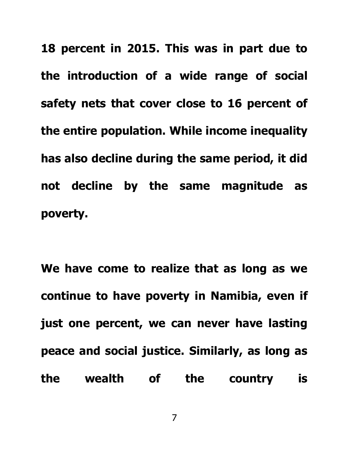**18 percent in 2015. This was in part due to the introduction of a wide range of social safety nets that cover close to 16 percent of the entire population. While income inequality has also decline during the same period, it did not decline by the same magnitude as poverty.** 

**We have come to realize that as long as we continue to have poverty in Namibia, even if just one percent, we can never have lasting peace and social justice. Similarly, as long as the wealth of the country is** 

7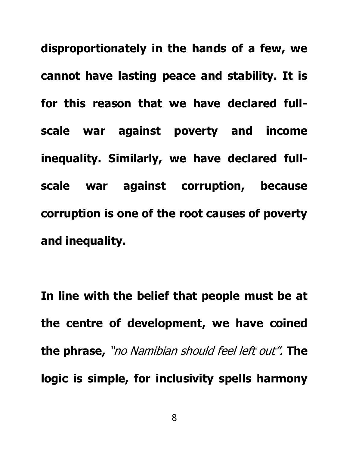**disproportionately in the hands of a few, we cannot have lasting peace and stability. It is for this reason that we have declared fullscale war against poverty and income inequality. Similarly, we have declared fullscale war against corruption, because corruption is one of the root causes of poverty and inequality.**

**In line with the belief that people must be at the centre of development, we have coined the phrase,** "no Namibian should feel left out". **The logic is simple, for inclusivity spells harmony**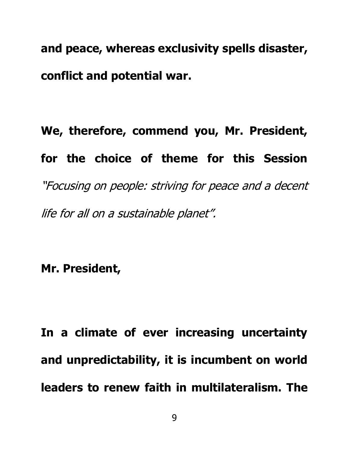**and peace, whereas exclusivity spells disaster, conflict and potential war.**

## **We, therefore, commend you, Mr. President, for the choice of theme for this Session**  "Focusing on people: striving for peace and a decent life for all on a sustainable planet".

**Mr. President,**

**In a climate of ever increasing uncertainty and unpredictability, it is incumbent on world leaders to renew faith in multilateralism. The**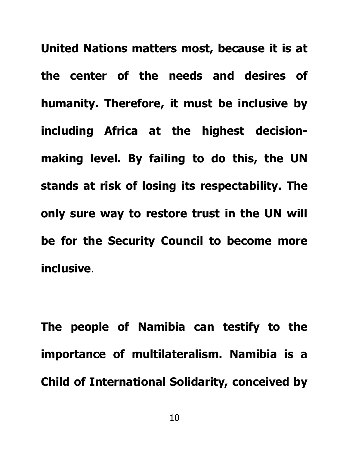**United Nations matters most, because it is at the center of the needs and desires of humanity. Therefore, it must be inclusive by including Africa at the highest decisionmaking level. By failing to do this, the UN stands at risk of losing its respectability. The only sure way to restore trust in the UN will be for the Security Council to become more inclusive**.

**The people of Namibia can testify to the importance of multilateralism. Namibia is a Child of International Solidarity, conceived by**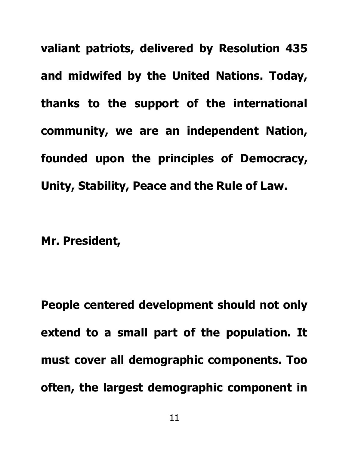**valiant patriots, delivered by Resolution 435 and midwifed by the United Nations. Today, thanks to the support of the international community, we are an independent Nation, founded upon the principles of Democracy, Unity, Stability, Peace and the Rule of Law.**

**Mr. President,**

**People centered development should not only extend to a small part of the population. It must cover all demographic components. Too often, the largest demographic component in**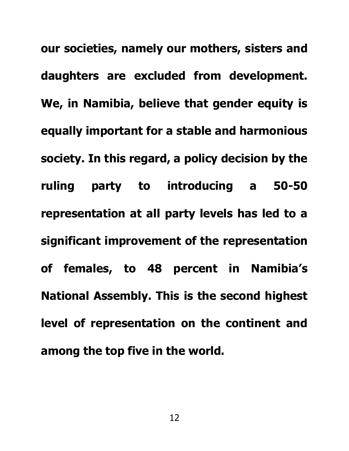**our societies, namely our mothers, sisters and daughters are excluded from development. We, in Namibia, believe that gender equity is equally important for a stable and harmonious society. In this regard, a policy decision by the ruling party to introducing a 50-50 representation at all party levels has led to a significant improvement of the representation of females, to 48 percent in Namibia's National Assembly. This is the second highest level of representation on the continent and among the top five in the world.**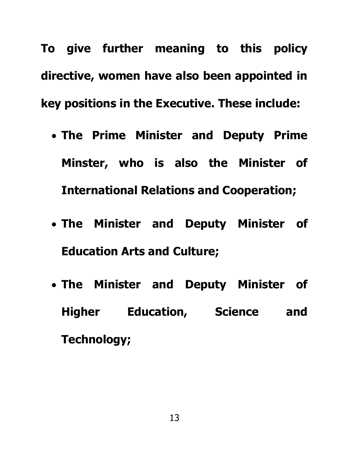**To give further meaning to this policy directive, women have also been appointed in key positions in the Executive. These include:**

- **The Prime Minister and Deputy Prime Minster, who is also the Minister of International Relations and Cooperation;**
- **The Minister and Deputy Minister of Education Arts and Culture;**
- **The Minister and Deputy Minister of Higher Education, Science and Technology;**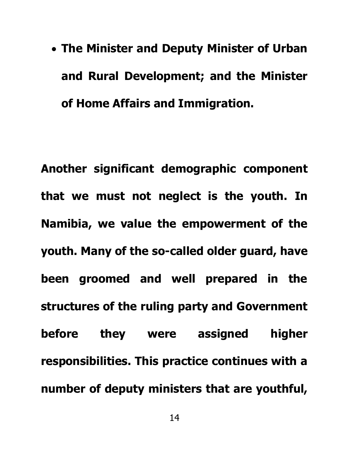• **The Minister and Deputy Minister of Urban and Rural Development; and the Minister of Home Affairs and Immigration.**

**Another significant demographic component that we must not neglect is the youth. In Namibia, we value the empowerment of the youth. Many of the so-called older guard, have been groomed and well prepared in the structures of the ruling party and Government before they were assigned higher responsibilities. This practice continues with a number of deputy ministers that are youthful,**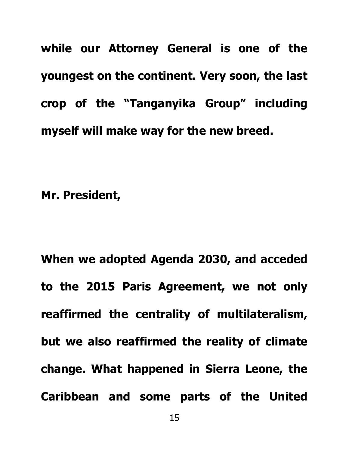**while our Attorney General is one of the youngest on the continent. Very soon, the last crop of the "Tanganyika Group" including myself will make way for the new breed.** 

**Mr. President,**

**When we adopted Agenda 2030, and acceded to the 2015 Paris Agreement, we not only reaffirmed the centrality of multilateralism, but we also reaffirmed the reality of climate change. What happened in Sierra Leone, the Caribbean and some parts of the United**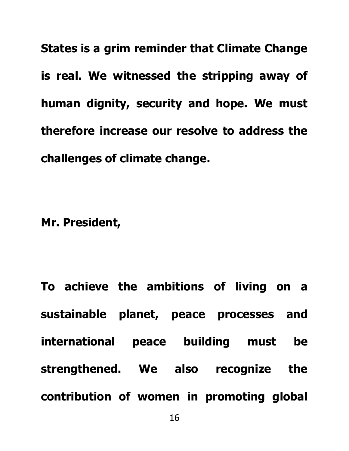**States is a grim reminder that Climate Change is real. We witnessed the stripping away of human dignity, security and hope. We must therefore increase our resolve to address the challenges of climate change.**

**Mr. President,**

**To achieve the ambitions of living on a sustainable planet, peace processes and international peace building must be strengthened. We also recognize the contribution of women in promoting global**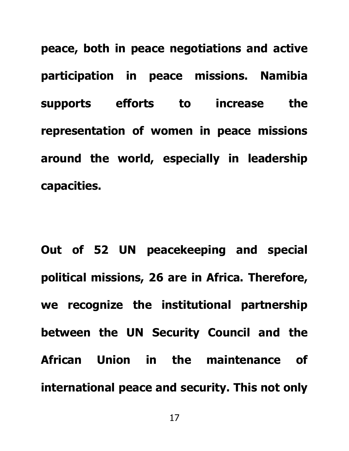**peace, both in peace negotiations and active participation in peace missions. Namibia supports efforts to increase the representation of women in peace missions around the world, especially in leadership capacities.** 

**Out of 52 UN peacekeeping and special political missions, 26 are in Africa. Therefore, we recognize the institutional partnership between the UN Security Council and the African Union in the maintenance of international peace and security. This not only**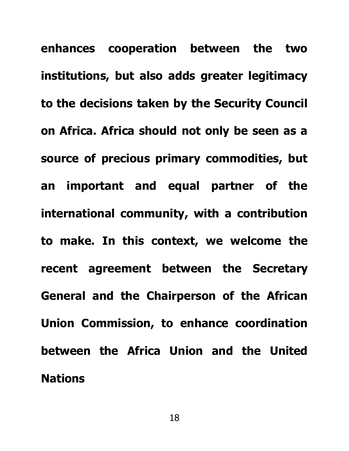**enhances cooperation between the two institutions, but also adds greater legitimacy to the decisions taken by the Security Council on Africa. Africa should not only be seen as a source of precious primary commodities, but an important and equal partner of the international community, with a contribution to make. In this context, we welcome the recent agreement between the Secretary General and the Chairperson of the African Union Commission, to enhance coordination between the Africa Union and the United Nations**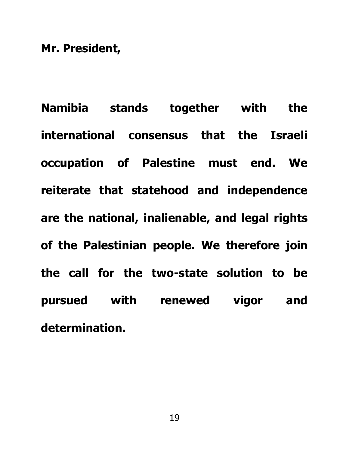**Mr. President,**

**Namibia stands together with the international consensus that the Israeli occupation of Palestine must end. We reiterate that statehood and independence are the national, inalienable, and legal rights of the Palestinian people. We therefore join the call for the two-state solution to be pursued with renewed vigor and determination.**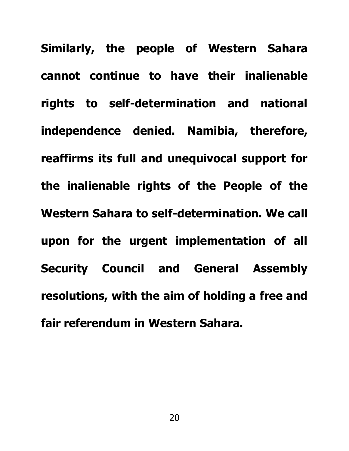**Similarly, the people of Western Sahara cannot continue to have their inalienable rights to self-determination and national independence denied. Namibia, therefore, reaffirms its full and unequivocal support for the inalienable rights of the People of the Western Sahara to self-determination. We call upon for the urgent implementation of all Security Council and General Assembly resolutions, with the aim of holding a free and fair referendum in Western Sahara.**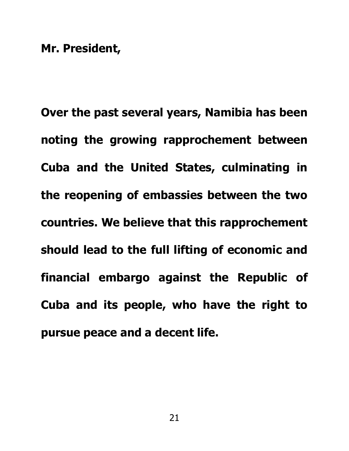**Over the past several years, Namibia has been noting the growing rapprochement between Cuba and the United States, culminating in the reopening of embassies between the two countries. We believe that this rapprochement should lead to the full lifting of economic and financial embargo against the Republic of Cuba and its people, who have the right to pursue peace and a decent life.**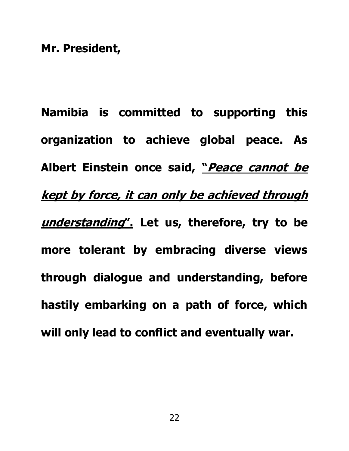**Namibia is committed to supporting this organization to achieve global peace. As Albert Einstein once said, "Peace cannot be kept by force, it can only be achieved through understanding". Let us, therefore, try to be more tolerant by embracing diverse views through dialogue and understanding, before hastily embarking on a path of force, which will only lead to conflict and eventually war.**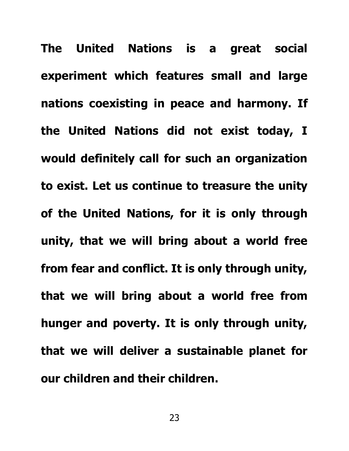**The United Nations is a great social experiment which features small and large nations coexisting in peace and harmony. If the United Nations did not exist today, I would definitely call for such an organization to exist. Let us continue to treasure the unity of the United Nations, for it is only through unity, that we will bring about a world free from fear and conflict. It is only through unity, that we will bring about a world free from hunger and poverty. It is only through unity, that we will deliver a sustainable planet for our children and their children.**